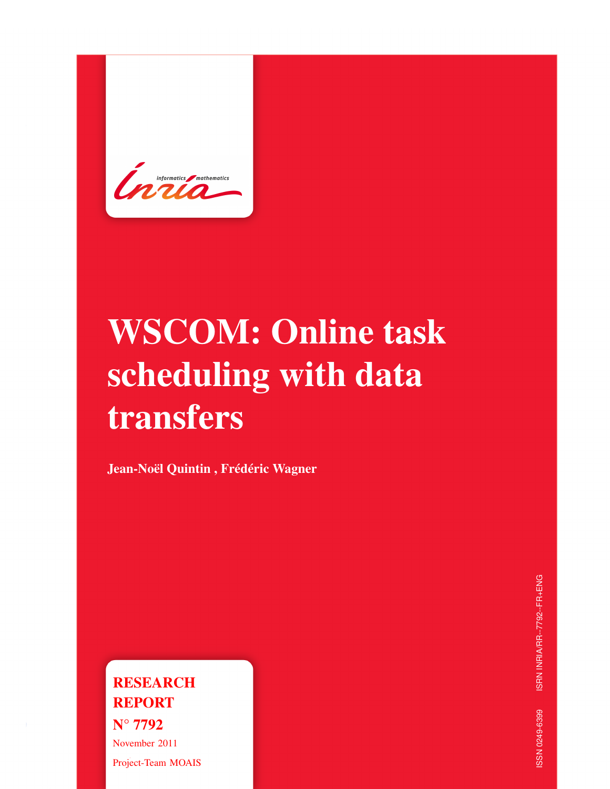

# WSCOM: Online task scheduling with data transfers

Jean-Noël Quintin , Frédéric Wagner

**RESEARCH** REPORT N° 7792 November 2011 Project-Team MOAIS ISRN INRIA/RR--7792--FR+ENG ISSN 0249-6399 ISRN INRIA/RR--7792--FR+ENG SSN 0249-6399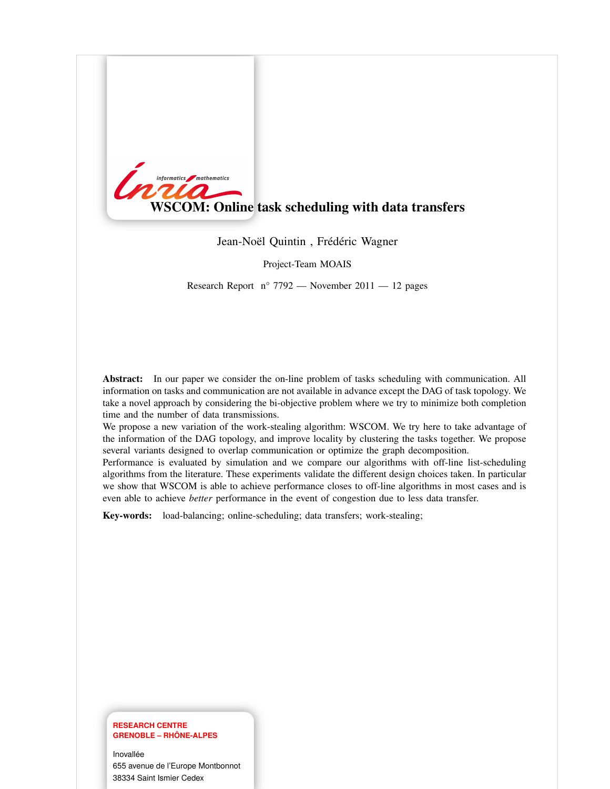

Jean-Noël Quintin , Frédéric Wagner

Project-Team MOAIS

Research Report  $n^{\circ}$  7792 — November 2011 — 12 pages

Abstract: In our paper we consider the on-line problem of tasks scheduling with communication. All information on tasks and communication are not available in advance except the DAG of task topology. We take a novel approach by considering the bi-objective problem where we try to minimize both completion time and the number of data transmissions.

We propose a new variation of the work-stealing algorithm: WSCOM. We try here to take advantage of the information of the DAG topology, and improve locality by clustering the tasks together. We propose several variants designed to overlap communication or optimize the graph decomposition.

Performance is evaluated by simulation and we compare our algorithms with off-line list-scheduling algorithms from the literature. These experiments validate the different design choices taken. In particular we show that WSCOM is able to achieve performance closes to off-line algorithms in most cases and is even able to achieve *better* performance in the event of congestion due to less data transfer.

Key-words: load-balancing; online-scheduling; data transfers; work-stealing;

#### **RESEARCH CENTRE GRENOBLE – RHÔNE-ALPES**

Inovallée 655 avenue de l'Europe Montbonnot 38334 Saint Ismier Cedex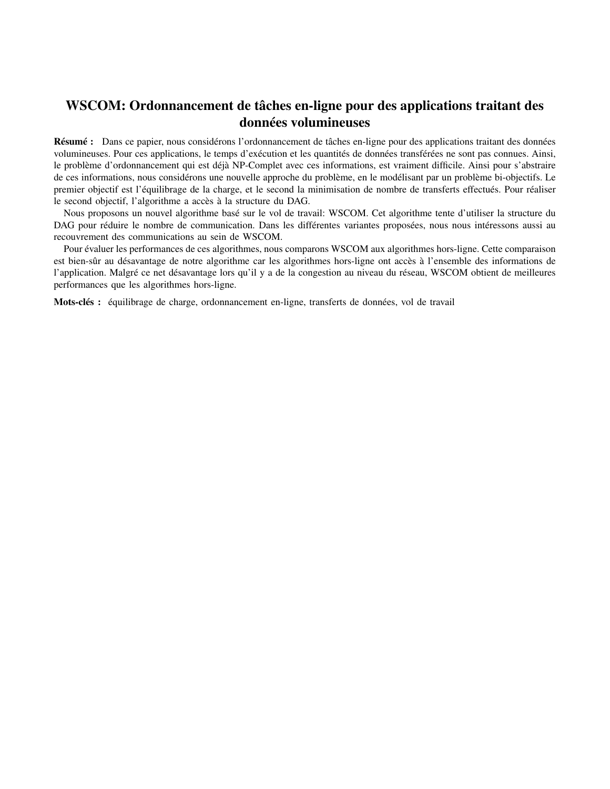## WSCOM: Ordonnancement de tâches en-ligne pour des applications traitant des données volumineuses

Résumé : Dans ce papier, nous considérons l'ordonnancement de tâches en-ligne pour des applications traitant des données volumineuses. Pour ces applications, le temps d'exécution et les quantités de données transférées ne sont pas connues. Ainsi, le problème d'ordonnancement qui est déjà NP-Complet avec ces informations, est vraiment difficile. Ainsi pour s'abstraire de ces informations, nous considérons une nouvelle approche du problème, en le modélisant par un problème bi-objectifs. Le premier objectif est l'équilibrage de la charge, et le second la minimisation de nombre de transferts effectués. Pour réaliser le second objectif, l'algorithme a accès à la structure du DAG.

Nous proposons un nouvel algorithme basé sur le vol de travail: WSCOM. Cet algorithme tente d'utiliser la structure du DAG pour réduire le nombre de communication. Dans les différentes variantes proposées, nous nous intéressons aussi au recouvrement des communications au sein de WSCOM.

Pour évaluer les performances de ces algorithmes, nous comparons WSCOM aux algorithmes hors-ligne. Cette comparaison est bien-sûr au désavantage de notre algorithme car les algorithmes hors-ligne ont accès à l'ensemble des informations de l'application. Malgré ce net désavantage lors qu'il y a de la congestion au niveau du réseau, WSCOM obtient de meilleures performances que les algorithmes hors-ligne.

Mots-clés : équilibrage de charge, ordonnancement en-ligne, transferts de données, vol de travail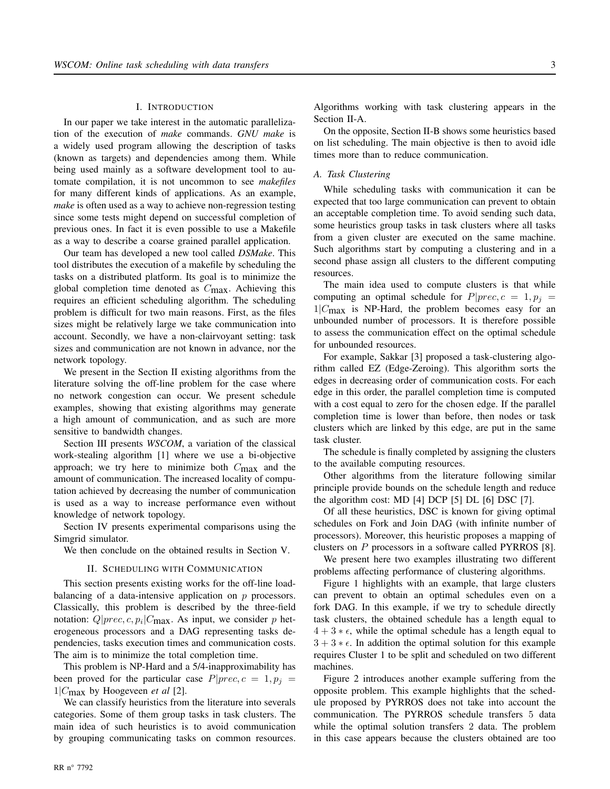#### I. INTRODUCTION

In our paper we take interest in the automatic parallelization of the execution of *make* commands. *GNU make* is a widely used program allowing the description of tasks (known as targets) and dependencies among them. While being used mainly as a software development tool to automate compilation, it is not uncommon to see *makefiles* for many different kinds of applications. As an example, *make* is often used as a way to achieve non-regression testing since some tests might depend on successful completion of previous ones. In fact it is even possible to use a Makefile as a way to describe a coarse grained parallel application.

Our team has developed a new tool called *DSMake*. This tool distributes the execution of a makefile by scheduling the tasks on a distributed platform. Its goal is to minimize the global completion time denoted as  $C_{\text{max}}$ . Achieving this requires an efficient scheduling algorithm. The scheduling problem is difficult for two main reasons. First, as the files sizes might be relatively large we take communication into account. Secondly, we have a non-clairvoyant setting: task sizes and communication are not known in advance, nor the network topology.

We present in the Section II existing algorithms from the literature solving the off-line problem for the case where no network congestion can occur. We present schedule examples, showing that existing algorithms may generate a high amount of communication, and as such are more sensitive to bandwidth changes.

Section III presents *WSCOM*, a variation of the classical work-stealing algorithm [1] where we use a bi-objective approach; we try here to minimize both  $C_{\text{max}}$  and the amount of communication. The increased locality of computation achieved by decreasing the number of communication is used as a way to increase performance even without knowledge of network topology.

Section IV presents experimental comparisons using the Simgrid simulator.

We then conclude on the obtained results in Section V.

#### II. SCHEDULING WITH COMMUNICATION

This section presents existing works for the off-line loadbalancing of a data-intensive application on  $p$  processors. Classically, this problem is described by the three-field notation:  $Q|prec, c, p_i|C_{\text{max}}$ . As input, we consider p heterogeneous processors and a DAG representing tasks dependencies, tasks execution times and communication costs. The aim is to minimize the total completion time.

This problem is NP-Hard and a 5/4-inapproximability has been proved for the particular case  $P|prec, c = 1, p_j =$ 1|Cmax by Hoogeveen *et al* [2].

We can classify heuristics from the literature into severals categories. Some of them group tasks in task clusters. The main idea of such heuristics is to avoid communication by grouping communicating tasks on common resources. Algorithms working with task clustering appears in the Section II-A.

On the opposite, Section II-B shows some heuristics based on list scheduling. The main objective is then to avoid idle times more than to reduce communication.

#### *A. Task Clustering*

While scheduling tasks with communication it can be expected that too large communication can prevent to obtain an acceptable completion time. To avoid sending such data, some heuristics group tasks in task clusters where all tasks from a given cluster are executed on the same machine. Such algorithms start by computing a clustering and in a second phase assign all clusters to the different computing resources.

The main idea used to compute clusters is that while computing an optimal schedule for  $P|prec, c = 1, p_j =$  $1/C_{\text{max}}$  is NP-Hard, the problem becomes easy for an unbounded number of processors. It is therefore possible to assess the communication effect on the optimal schedule for unbounded resources.

For example, Sakkar [3] proposed a task-clustering algorithm called EZ (Edge-Zeroing). This algorithm sorts the edges in decreasing order of communication costs. For each edge in this order, the parallel completion time is computed with a cost equal to zero for the chosen edge. If the parallel completion time is lower than before, then nodes or task clusters which are linked by this edge, are put in the same task cluster.

The schedule is finally completed by assigning the clusters to the available computing resources.

Other algorithms from the literature following similar principle provide bounds on the schedule length and reduce the algorithm cost: MD [4] DCP [5] DL [6] DSC [7].

Of all these heuristics, DSC is known for giving optimal schedules on Fork and Join DAG (with infinite number of processors). Moreover, this heuristic proposes a mapping of clusters on P processors in a software called PYRROS [8].

We present here two examples illustrating two different problems affecting performance of clustering algorithms.

Figure 1 highlights with an example, that large clusters can prevent to obtain an optimal schedules even on a fork DAG. In this example, if we try to schedule directly task clusters, the obtained schedule has a length equal to  $4 + 3 * \epsilon$ , while the optimal schedule has a length equal to  $3 + 3 * \epsilon$ . In addition the optimal solution for this example requires Cluster 1 to be split and scheduled on two different machines.

Figure 2 introduces another example suffering from the opposite problem. This example highlights that the schedule proposed by PYRROS does not take into account the communication. The PYRROS schedule transfers 5 data while the optimal solution transfers 2 data. The problem in this case appears because the clusters obtained are too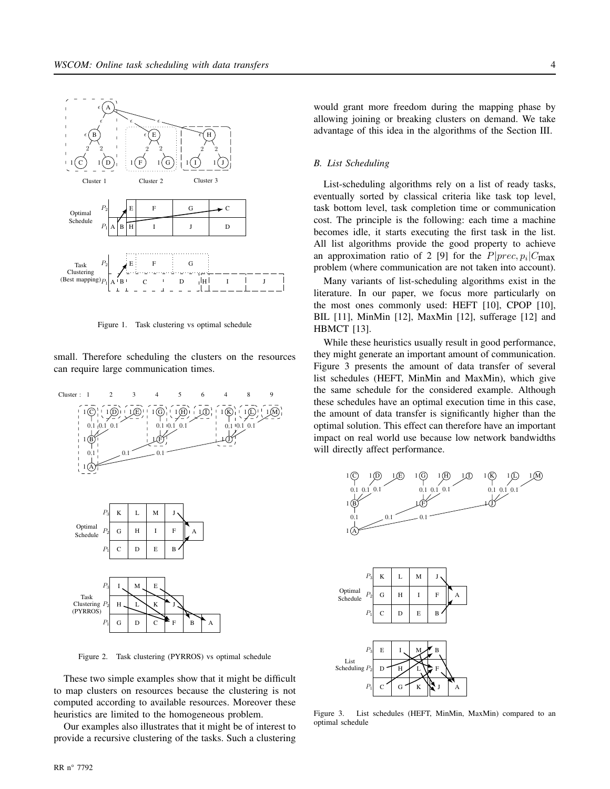

Figure 1. Task clustering vs optimal schedule

small. Therefore scheduling the clusters on the resources can require large communication times.



Figure 2. Task clustering (PYRROS) vs optimal schedule

These two simple examples show that it might be difficult to map clusters on resources because the clustering is not computed according to available resources. Moreover these heuristics are limited to the homogeneous problem.

Our examples also illustrates that it might be of interest to provide a recursive clustering of the tasks. Such a clustering would grant more freedom during the mapping phase by allowing joining or breaking clusters on demand. We take advantage of this idea in the algorithms of the Section III.

#### *B. List Scheduling*

List-scheduling algorithms rely on a list of ready tasks, eventually sorted by classical criteria like task top level, task bottom level, task completion time or communication cost. The principle is the following: each time a machine becomes idle, it starts executing the first task in the list. All list algorithms provide the good property to achieve an approximation ratio of 2 [9] for the  $P|prec, p_i|C_{\text{max}}$ problem (where communication are not taken into account).

Many variants of list-scheduling algorithms exist in the literature. In our paper, we focus more particularly on the most ones commonly used: HEFT [10], CPOP [10], BIL [11], MinMin [12], MaxMin [12], sufferage [12] and HBMCT [13].

While these heuristics usually result in good performance, they might generate an important amount of communication. Figure 3 presents the amount of data transfer of several list schedules (HEFT, MinMin and MaxMin), which give the same schedule for the considered example. Although these schedules have an optimal execution time in this case, the amount of data transfer is significantly higher than the optimal solution. This effect can therefore have an important impact on real world use because low network bandwidths will directly affect performance.





Figure 3. List schedules (HEFT, MinMin, MaxMin) compared to an optimal schedule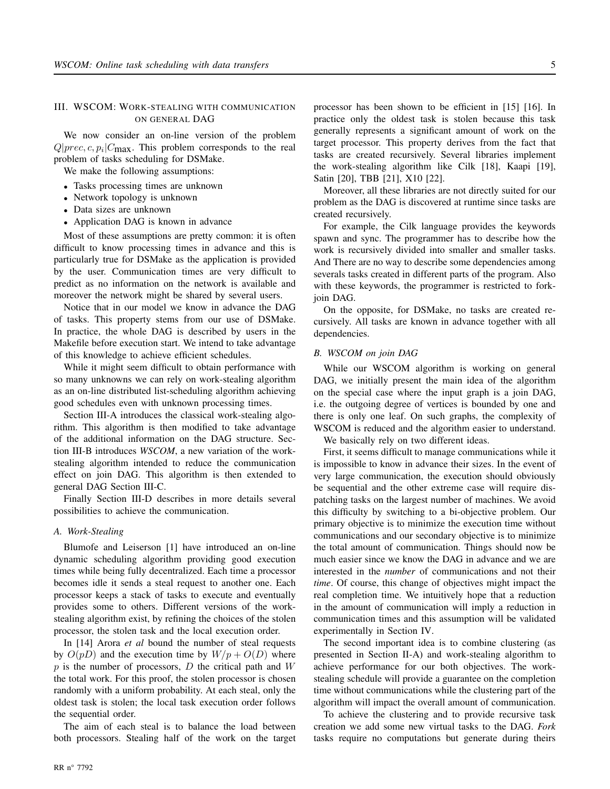#### III. WSCOM: WORK-STEALING WITH COMMUNICATION ON GENERAL DAG

We now consider an on-line version of the problem  $Q|prec, c, p_i|C_{\text{max}}$ . This problem corresponds to the real problem of tasks scheduling for DSMake.

We make the following assumptions:

- Tasks processing times are unknown
- Network topology is unknown
- Data sizes are unknown
- Application DAG is known in advance

Most of these assumptions are pretty common: it is often difficult to know processing times in advance and this is particularly true for DSMake as the application is provided by the user. Communication times are very difficult to predict as no information on the network is available and moreover the network might be shared by several users.

Notice that in our model we know in advance the DAG of tasks. This property stems from our use of DSMake. In practice, the whole DAG is described by users in the Makefile before execution start. We intend to take advantage of this knowledge to achieve efficient schedules.

While it might seem difficult to obtain performance with so many unknowns we can rely on work-stealing algorithm as an on-line distributed list-scheduling algorithm achieving good schedules even with unknown processing times.

Section III-A introduces the classical work-stealing algorithm. This algorithm is then modified to take advantage of the additional information on the DAG structure. Section III-B introduces *WSCOM*, a new variation of the workstealing algorithm intended to reduce the communication effect on join DAG. This algorithm is then extended to general DAG Section III-C.

Finally Section III-D describes in more details several possibilities to achieve the communication.

#### *A. Work-Stealing*

Blumofe and Leiserson [1] have introduced an on-line dynamic scheduling algorithm providing good execution times while being fully decentralized. Each time a processor becomes idle it sends a steal request to another one. Each processor keeps a stack of tasks to execute and eventually provides some to others. Different versions of the workstealing algorithm exist, by refining the choices of the stolen processor, the stolen task and the local execution order.

In [14] Arora *et al* bound the number of steal requests by  $O(pD)$  and the execution time by  $W/p + O(D)$  where  $p$  is the number of processors,  $D$  the critical path and  $W$ the total work. For this proof, the stolen processor is chosen randomly with a uniform probability. At each steal, only the oldest task is stolen; the local task execution order follows the sequential order.

The aim of each steal is to balance the load between both processors. Stealing half of the work on the target processor has been shown to be efficient in [15] [16]. In practice only the oldest task is stolen because this task generally represents a significant amount of work on the target processor. This property derives from the fact that tasks are created recursively. Several libraries implement the work-stealing algorithm like Cilk [18], Kaapi [19], Satin [20], TBB [21], X10 [22].

Moreover, all these libraries are not directly suited for our problem as the DAG is discovered at runtime since tasks are created recursively.

For example, the Cilk language provides the keywords spawn and sync. The programmer has to describe how the work is recursively divided into smaller and smaller tasks. And There are no way to describe some dependencies among severals tasks created in different parts of the program. Also with these keywords, the programmer is restricted to forkjoin DAG.

On the opposite, for DSMake, no tasks are created recursively. All tasks are known in advance together with all dependencies.

#### *B. WSCOM on join DAG*

While our WSCOM algorithm is working on general DAG, we initially present the main idea of the algorithm on the special case where the input graph is a join DAG, i.e. the outgoing degree of vertices is bounded by one and there is only one leaf. On such graphs, the complexity of WSCOM is reduced and the algorithm easier to understand.

We basically rely on two different ideas.

First, it seems difficult to manage communications while it is impossible to know in advance their sizes. In the event of very large communication, the execution should obviously be sequential and the other extreme case will require dispatching tasks on the largest number of machines. We avoid this difficulty by switching to a bi-objective problem. Our primary objective is to minimize the execution time without communications and our secondary objective is to minimize the total amount of communication. Things should now be much easier since we know the DAG in advance and we are interested in the *number* of communications and not their *time*. Of course, this change of objectives might impact the real completion time. We intuitively hope that a reduction in the amount of communication will imply a reduction in communication times and this assumption will be validated experimentally in Section IV.

The second important idea is to combine clustering (as presented in Section II-A) and work-stealing algorithm to achieve performance for our both objectives. The workstealing schedule will provide a guarantee on the completion time without communications while the clustering part of the algorithm will impact the overall amount of communication.

To achieve the clustering and to provide recursive task creation we add some new virtual tasks to the DAG. *Fork* tasks require no computations but generate during theirs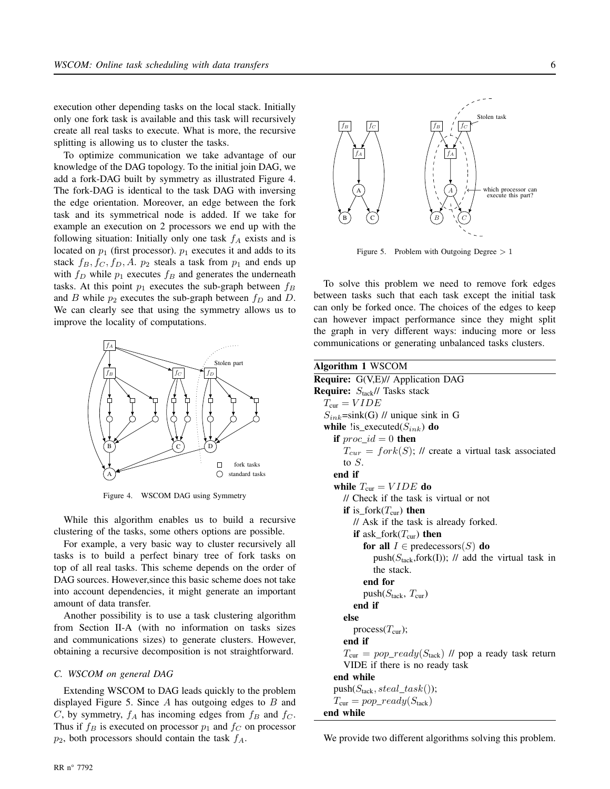execution other depending tasks on the local stack. Initially only one fork task is available and this task will recursively create all real tasks to execute. What is more, the recursive splitting is allowing us to cluster the tasks.

To optimize communication we take advantage of our knowledge of the DAG topology. To the initial join DAG, we add a fork-DAG built by symmetry as illustrated Figure 4. The fork-DAG is identical to the task DAG with inversing the edge orientation. Moreover, an edge between the fork task and its symmetrical node is added. If we take for example an execution on 2 processors we end up with the following situation: Initially only one task  $f_A$  exists and is located on  $p_1$  (first processor).  $p_1$  executes it and adds to its stack  $f_B$ ,  $f_C$ ,  $f_D$ ,  $A$ .  $p_2$  steals a task from  $p_1$  and ends up with  $f_D$  while  $p_1$  executes  $f_B$  and generates the underneath tasks. At this point  $p_1$  executes the sub-graph between  $f_B$ and B while  $p_2$  executes the sub-graph between  $f_D$  and D. We can clearly see that using the symmetry allows us to improve the locality of computations.



Figure 4. WSCOM DAG using Symmetry

While this algorithm enables us to build a recursive clustering of the tasks, some others options are possible.

For example, a very basic way to cluster recursively all tasks is to build a perfect binary tree of fork tasks on top of all real tasks. This scheme depends on the order of DAG sources. However,since this basic scheme does not take into account dependencies, it might generate an important amount of data transfer.

Another possibility is to use a task clustering algorithm from Section II-A (with no information on tasks sizes and communications sizes) to generate clusters. However, obtaining a recursive decomposition is not straightforward.

#### *C. WSCOM on general DAG*

Extending WSCOM to DAG leads quickly to the problem displayed Figure 5. Since  $A$  has outgoing edges to  $B$  and C, by symmetry,  $f_A$  has incoming edges from  $f_B$  and  $f_C$ . Thus if  $f_B$  is executed on processor  $p_1$  and  $f_C$  on processor  $p_2$ , both processors should contain the task  $f_A$ .



Figure 5. Problem with Outgoing Degree  $> 1$ 

To solve this problem we need to remove fork edges between tasks such that each task except the initial task can only be forked once. The choices of the edges to keep can however impact performance since they might split the graph in very different ways: inducing more or less communications or generating unbalanced tasks clusters.

Algorithm 1 WSCOM Require: G(V,E)// Application DAG **Require:**  $S_{\text{tack}}$ // Tasks stack  $T_{\text{cur}} = VIDE$  $S_{ink}$ =sink(G) // unique sink in G while  $\text{lis\_executed}(S_{ink})$  do if  $proc\_id = 0$  then  $T_{cur} =$  fork(S); *II* create a virtual task associated to S. end if while  $T_{\text{cur}} = VIDE$  do // Check if the task is virtual or not if is\_fork $(T_{\text{cur}})$  then // Ask if the task is already forked. if ask\_fork $(T_{cur})$  then for all  $I \in$  predecessors(S) do push( $S<sub>task</sub>$ ,fork(I)); // add the virtual task in the stack. end for push $(S_{\text{tack}}, T_{\text{cur}})$ end if else process $(T_{cur})$ ; end if  $T_{\text{cur}} = pop\_ready(S_{\text{tack}})$  // pop a ready task return VIDE if there is no ready task end while  $push(S<sub>tack</sub>, steal\_task())$ ;  $T_{\text{cur}} = pop\_ready(S_{\text{tack}})$ end while

We provide two different algorithms solving this problem.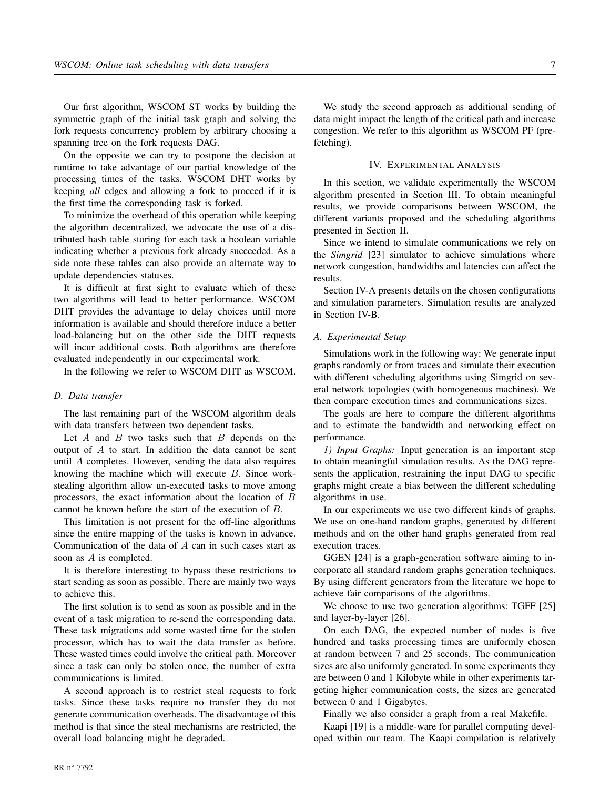Our first algorithm, WSCOM ST works by building the symmetric graph of the initial task graph and solving the fork requests concurrency problem by arbitrary choosing a spanning tree on the fork requests DAG.

On the opposite we can try to postpone the decision at runtime to take advantage of our partial knowledge of the processing times of the tasks. WSCOM DHT works by keeping *all* edges and allowing a fork to proceed if it is the first time the corresponding task is forked.

To minimize the overhead of this operation while keeping the algorithm decentralized, we advocate the use of a distributed hash table storing for each task a boolean variable indicating whether a previous fork already succeeded. As a side note these tables can also provide an alternate way to update dependencies statuses.

It is difficult at first sight to evaluate which of these two algorithms will lead to better performance. WSCOM DHT provides the advantage to delay choices until more information is available and should therefore induce a better load-balancing but on the other side the DHT requests will incur additional costs. Both algorithms are therefore evaluated independently in our experimental work.

In the following we refer to WSCOM DHT as WSCOM.

#### *D. Data transfer*

RR n° 7792

The last remaining part of the WSCOM algorithm deals with data transfers between two dependent tasks.

Let  $A$  and  $B$  two tasks such that  $B$  depends on the output of A to start. In addition the data cannot be sent until A completes. However, sending the data also requires knowing the machine which will execute B. Since workstealing algorithm allow un-executed tasks to move among processors, the exact information about the location of B cannot be known before the start of the execution of B.

This limitation is not present for the off-line algorithms since the entire mapping of the tasks is known in advance. Communication of the data of A can in such cases start as soon as A is completed.

It is therefore interesting to bypass these restrictions to start sending as soon as possible. There are mainly two ways to achieve this.

The first solution is to send as soon as possible and in the event of a task migration to re-send the corresponding data. These task migrations add some wasted time for the stolen processor, which has to wait the data transfer as before. These wasted times could involve the critical path. Moreover since a task can only be stolen once, the number of extra communications is limited.

A second approach is to restrict steal requests to fork tasks. Since these tasks require no transfer they do not generate communication overheads. The disadvantage of this method is that since the steal mechanisms are restricted, the overall load balancing might be degraded.

We study the second approach as additional sending of data might impact the length of the critical path and increase congestion. We refer to this algorithm as WSCOM PF (prefetching).

#### IV. EXPERIMENTAL ANALYSIS

In this section, we validate experimentally the WSCOM algorithm presented in Section III. To obtain meaningful results, we provide comparisons between WSCOM, the different variants proposed and the scheduling algorithms presented in Section II.

Since we intend to simulate communications we rely on the *Simgrid* [23] simulator to achieve simulations where network congestion, bandwidths and latencies can affect the results.

and simulation parameters. Simulation results are analyzed in Section IV-B.

#### *A. Experimental Setup*

Simulations work in the following way: We generate input graphs randomly or from traces and simulate their execution with different scheduling algorithms using Simgrid on several network topologies (with homogeneous machines). We then compare execution times and communications sizes.

The goals are here to compare the different algorithms and to estimate the bandwidth and networking effect on performance.

*1) Input Graphs:* Input generation is an important step to obtain meaningful simulation results. As the DAG represents the application, restraining the input DAG to specific graphs might create a bias between the different scheduling algorithms in use.

In our experiments we use two different kinds of graphs. We use on one-hand random graphs, generated by different methods and on the other hand graphs generated from real execution traces.

GGEN [24] is a graph-generation software aiming to incorporate all standard random graphs generation techniques. By using different generators from the literature we hope to achieve fair comparisons of the algorithms.

We choose to use two generation algorithms: TGFF [25] and layer-by-layer [26].

On each DAG, the expected number of nodes is five hundred and tasks processing times are uniformly chosen at random between 7 and 25 seconds. The communication sizes are also uniformly generated. In some experiments they are between 0 and 1 Kilobyte while in other experiments targeting higher communication costs, the sizes are generated between 0 and 1 Gigabytes.

Finally we also consider a graph from a real Makefile.

Kaapi [19] is a middle-ware for parallel computing developed within our team. The Kaapi compilation is relatively

Section IV-A presents details on the chosen configurations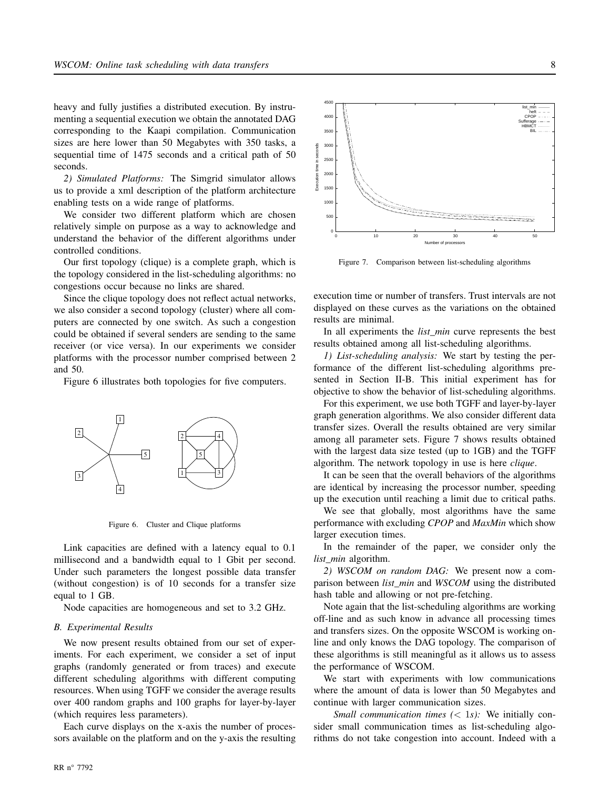heavy and fully justifies a distributed execution. By instrumenting a sequential execution we obtain the annotated DAG corresponding to the Kaapi compilation. Communication sizes are here lower than 50 Megabytes with 350 tasks, a sequential time of 1475 seconds and a critical path of 50 seconds.

*2) Simulated Platforms:* The Simgrid simulator allows us to provide a xml description of the platform architecture enabling tests on a wide range of platforms.

We consider two different platform which are chosen relatively simple on purpose as a way to acknowledge and understand the behavior of the different algorithms under controlled conditions.

Our first topology (clique) is a complete graph, which is the topology considered in the list-scheduling algorithms: no congestions occur because no links are shared.

Since the clique topology does not reflect actual networks, we also consider a second topology (cluster) where all computers are connected by one switch. As such a congestion could be obtained if several senders are sending to the same receiver (or vice versa). In our experiments we consider platforms with the processor number comprised between 2 and 50.

Figure 6 illustrates both topologies for five computers.



Figure 6. Cluster and Clique platforms

Link capacities are defined with a latency equal to 0.1 millisecond and a bandwidth equal to 1 Gbit per second. Under such parameters the longest possible data transfer (without congestion) is of 10 seconds for a transfer size equal to 1 GB.

Node capacities are homogeneous and set to 3.2 GHz.

#### *B. Experimental Results*

We now present results obtained from our set of experiments. For each experiment, we consider a set of input graphs (randomly generated or from traces) and execute different scheduling algorithms with different computing resources. When using TGFF we consider the average results over 400 random graphs and 100 graphs for layer-by-layer (which requires less parameters).

Each curve displays on the x-axis the number of processors available on the platform and on the y-axis the resulting



Figure 7. Comparison between list-scheduling algorithms

execution time or number of transfers. Trust intervals are not displayed on these curves as the variations on the obtained results are minimal.

In all experiments the *list\_min* curve represents the best results obtained among all list-scheduling algorithms.

*1) List-scheduling analysis:* We start by testing the performance of the different list-scheduling algorithms presented in Section II-B. This initial experiment has for objective to show the behavior of list-scheduling algorithms.

For this experiment, we use both TGFF and layer-by-layer graph generation algorithms. We also consider different data transfer sizes. Overall the results obtained are very similar among all parameter sets. Figure 7 shows results obtained with the largest data size tested (up to 1GB) and the TGFF algorithm. The network topology in use is here *clique*.

It can be seen that the overall behaviors of the algorithms are identical by increasing the processor number, speeding up the execution until reaching a limit due to critical paths.

We see that globally, most algorithms have the same performance with excluding *CPOP* and *MaxMin* which show larger execution times.

In the remainder of the paper, we consider only the *list\_min* algorithm.

*2) WSCOM on random DAG:* We present now a comparison between *list\_min* and *WSCOM* using the distributed hash table and allowing or not pre-fetching.

Note again that the list-scheduling algorithms are working off-line and as such know in advance all processing times and transfers sizes. On the opposite WSCOM is working online and only knows the DAG topology. The comparison of these algorithms is still meaningful as it allows us to assess the performance of WSCOM.

We start with experiments with low communications where the amount of data is lower than 50 Megabytes and continue with larger communication sizes.

*Small communication times (< 1s):* We initially consider small communication times as list-scheduling algorithms do not take congestion into account. Indeed with a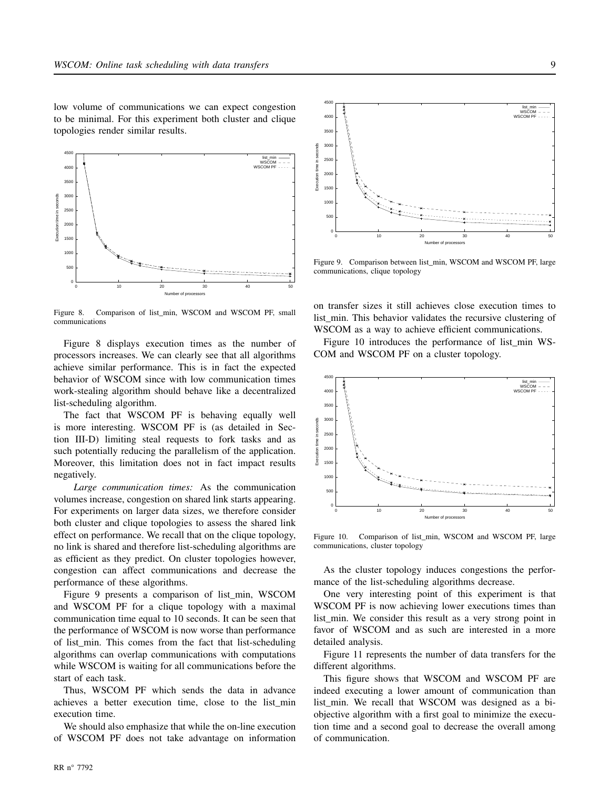low volume of communications we can expect congestion to be minimal. For this experiment both cluster and clique topologies render similar results.



Figure 8. Comparison of list\_min, WSCOM and WSCOM PF, small communications

Figure 8 displays execution times as the number of processors increases. We can clearly see that all algorithms achieve similar performance. This is in fact the expected behavior of WSCOM since with low communication times work-stealing algorithm should behave like a decentralized list-scheduling algorithm.

The fact that WSCOM PF is behaving equally well is more interesting. WSCOM PF is (as detailed in Section III-D) limiting steal requests to fork tasks and as such potentially reducing the parallelism of the application. Moreover, this limitation does not in fact impact results negatively.

*Large communication times:* As the communication volumes increase, congestion on shared link starts appearing. For experiments on larger data sizes, we therefore consider both cluster and clique topologies to assess the shared link effect on performance. We recall that on the clique topology, no link is shared and therefore list-scheduling algorithms are as efficient as they predict. On cluster topologies however, congestion can affect communications and decrease the performance of these algorithms.

Figure 9 presents a comparison of list\_min, WSCOM and WSCOM PF for a clique topology with a maximal communication time equal to 10 seconds. It can be seen that the performance of WSCOM is now worse than performance of list\_min. This comes from the fact that list-scheduling algorithms can overlap communications with computations while WSCOM is waiting for all communications before the start of each task.

Thus, WSCOM PF which sends the data in advance achieves a better execution time, close to the list\_min execution time.

We should also emphasize that while the on-line execution of WSCOM PF does not take advantage on information



Figure 9. Comparison between list\_min, WSCOM and WSCOM PF, large communications, clique topology

on transfer sizes it still achieves close execution times to list\_min. This behavior validates the recursive clustering of WSCOM as a way to achieve efficient communications.

Figure 10 introduces the performance of list min WS-COM and WSCOM PF on a cluster topology.



Figure 10. Comparison of list\_min, WSCOM and WSCOM PF, large communications, cluster topology

As the cluster topology induces congestions the performance of the list-scheduling algorithms decrease.

One very interesting point of this experiment is that WSCOM PF is now achieving lower executions times than list min. We consider this result as a very strong point in favor of WSCOM and as such are interested in a more detailed analysis.

Figure 11 represents the number of data transfers for the different algorithms.

This figure shows that WSCOM and WSCOM PF are indeed executing a lower amount of communication than list\_min. We recall that WSCOM was designed as a biobjective algorithm with a first goal to minimize the execution time and a second goal to decrease the overall among of communication.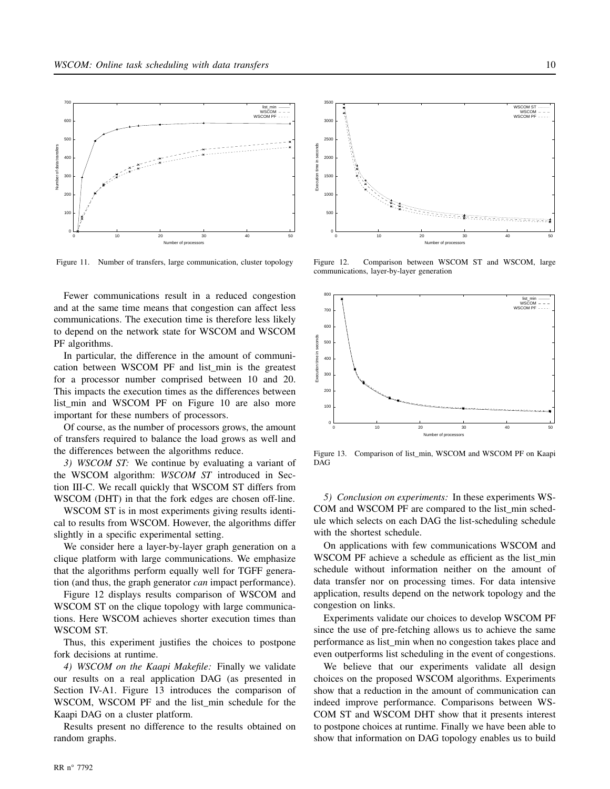

Figure 11. Number of transfers, large communication, cluster topology

Fewer communications result in a reduced congestion and at the same time means that congestion can affect less communications. The execution time is therefore less likely to depend on the network state for WSCOM and WSCOM PF algorithms.

In particular, the difference in the amount of communication between WSCOM PF and list\_min is the greatest for a processor number comprised between 10 and 20. This impacts the execution times as the differences between list\_min and WSCOM PF on Figure 10 are also more important for these numbers of processors.

Of course, as the number of processors grows, the amount of transfers required to balance the load grows as well and the differences between the algorithms reduce.

*3) WSCOM ST:* We continue by evaluating a variant of the WSCOM algorithm: *WSCOM ST* introduced in Section III-C. We recall quickly that WSCOM ST differs from WSCOM (DHT) in that the fork edges are chosen off-line.

WSCOM ST is in most experiments giving results identical to results from WSCOM. However, the algorithms differ slightly in a specific experimental setting.

We consider here a layer-by-layer graph generation on a clique platform with large communications. We emphasize that the algorithms perform equally well for TGFF generation (and thus, the graph generator *can* impact performance).

Figure 12 displays results comparison of WSCOM and WSCOM ST on the clique topology with large communications. Here WSCOM achieves shorter execution times than WSCOM ST.

Thus, this experiment justifies the choices to postpone fork decisions at runtime.

*4) WSCOM on the Kaapi Makefile:* Finally we validate our results on a real application DAG (as presented in Section IV-A1. Figure 13 introduces the comparison of WSCOM, WSCOM PF and the list\_min schedule for the Kaapi DAG on a cluster platform.

Results present no difference to the results obtained on random graphs.



Figure 12. Comparison between WSCOM ST and WSCOM, large communications, layer-by-layer generation



Figure 13. Comparison of list\_min, WSCOM and WSCOM PF on Kaapi DAG

*5) Conclusion on experiments:* In these experiments WS-COM and WSCOM PF are compared to the list\_min schedule which selects on each DAG the list-scheduling schedule with the shortest schedule.

On applications with few communications WSCOM and WSCOM PF achieve a schedule as efficient as the list\_min schedule without information neither on the amount of data transfer nor on processing times. For data intensive application, results depend on the network topology and the congestion on links.

Experiments validate our choices to develop WSCOM PF since the use of pre-fetching allows us to achieve the same performance as list\_min when no congestion takes place and even outperforms list scheduling in the event of congestions.

We believe that our experiments validate all design choices on the proposed WSCOM algorithms. Experiments show that a reduction in the amount of communication can indeed improve performance. Comparisons between WS-COM ST and WSCOM DHT show that it presents interest to postpone choices at runtime. Finally we have been able to show that information on DAG topology enables us to build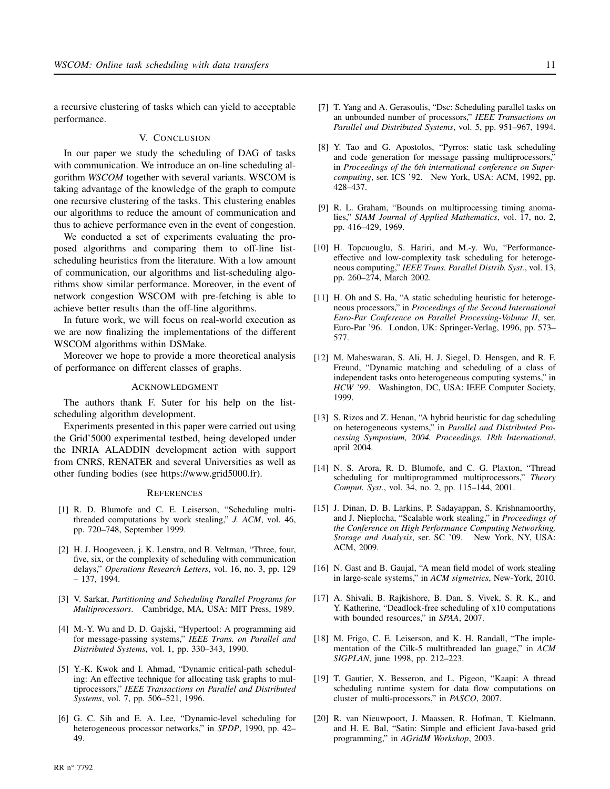a recursive clustering of tasks which can yield to acceptable performance.

#### V. CONCLUSION

In our paper we study the scheduling of DAG of tasks with communication. We introduce an on-line scheduling algorithm *WSCOM* together with several variants. WSCOM is taking advantage of the knowledge of the graph to compute one recursive clustering of the tasks. This clustering enables our algorithms to reduce the amount of communication and thus to achieve performance even in the event of congestion.

We conducted a set of experiments evaluating the proposed algorithms and comparing them to off-line listscheduling heuristics from the literature. With a low amount of communication, our algorithms and list-scheduling algorithms show similar performance. Moreover, in the event of network congestion WSCOM with pre-fetching is able to achieve better results than the off-line algorithms.

In future work, we will focus on real-world execution as we are now finalizing the implementations of the different WSCOM algorithms within DSMake.

Moreover we hope to provide a more theoretical analysis of performance on different classes of graphs.

### ACKNOWLEDGMENT

The authors thank F. Suter for his help on the listscheduling algorithm development.

Experiments presented in this paper were carried out using the Grid'5000 experimental testbed, being developed under the INRIA ALADDIN development action with support from CNRS, RENATER and several Universities as well as other funding bodies (see https://www.grid5000.fr).

### **REFERENCES**

- [1] R. D. Blumofe and C. E. Leiserson, "Scheduling multithreaded computations by work stealing," *J. ACM*, vol. 46, pp. 720–748, September 1999.
- [2] H. J. Hoogeveen, j. K. Lenstra, and B. Veltman, "Three, four, five, six, or the complexity of scheduling with communication delays," *Operations Research Letters*, vol. 16, no. 3, pp. 129 – 137, 1994.
- [3] V. Sarkar, *Partitioning and Scheduling Parallel Programs for Multiprocessors*. Cambridge, MA, USA: MIT Press, 1989.
- [4] M.-Y. Wu and D. D. Gajski, "Hypertool: A programming aid for message-passing systems," *IEEE Trans. on Parallel and Distributed Systems*, vol. 1, pp. 330–343, 1990.
- [5] Y.-K. Kwok and I. Ahmad, "Dynamic critical-path scheduling: An effective technique for allocating task graphs to multiprocessors," *IEEE Transactions on Parallel and Distributed Systems*, vol. 7, pp. 506–521, 1996.
- [6] G. C. Sih and E. A. Lee, "Dynamic-level scheduling for heterogeneous processor networks," in *SPDP*, 1990, pp. 42– 49.
- [7] T. Yang and A. Gerasoulis, "Dsc: Scheduling parallel tasks on an unbounded number of processors," *IEEE Transactions on Parallel and Distributed Systems*, vol. 5, pp. 951–967, 1994.
- [8] Y. Tao and G. Apostolos, "Pyrros: static task scheduling and code generation for message passing multiprocessors, in *Proceedings of the 6th international conference on Supercomputing*, ser. ICS '92. New York, USA: ACM, 1992, pp. 428–437.
- [9] R. L. Graham, "Bounds on multiprocessing timing anomalies," *SIAM Journal of Applied Mathematics*, vol. 17, no. 2, pp. 416–429, 1969.
- [10] H. Topcuouglu, S. Hariri, and M.-y. Wu, "Performanceeffective and low-complexity task scheduling for heterogeneous computing," *IEEE Trans. Parallel Distrib. Syst.*, vol. 13, pp. 260–274, March 2002.
- [11] H. Oh and S. Ha, "A static scheduling heuristic for heterogeneous processors," in *Proceedings of the Second International Euro-Par Conference on Parallel Processing-Volume II*, ser. Euro-Par '96. London, UK: Springer-Verlag, 1996, pp. 573– 577.
- [12] M. Maheswaran, S. Ali, H. J. Siegel, D. Hensgen, and R. F. Freund, "Dynamic matching and scheduling of a class of independent tasks onto heterogeneous computing systems," in *HCW '99*. Washington, DC, USA: IEEE Computer Society, 1999.
- [13] S. Rizos and Z. Henan, "A hybrid heuristic for dag scheduling on heterogeneous systems," in *Parallel and Distributed Processing Symposium, 2004. Proceedings. 18th International*, april 2004.
- [14] N. S. Arora, R. D. Blumofe, and C. G. Plaxton, "Thread scheduling for multiprogrammed multiprocessors," *Theory Comput. Syst.*, vol. 34, no. 2, pp. 115–144, 2001.
- [15] J. Dinan, D. B. Larkins, P. Sadayappan, S. Krishnamoorthy, and J. Nieplocha, "Scalable work stealing," in *Proceedings of the Conference on High Performance Computing Networking, Storage and Analysis*, ser. SC '09. New York, NY, USA: ACM, 2009.
- [16] N. Gast and B. Gaujal, "A mean field model of work stealing in large-scale systems," in *ACM sigmetrics*, New-York, 2010.
- [17] A. Shivali, B. Rajkishore, B. Dan, S. Vivek, S. R. K., and Y. Katherine, "Deadlock-free scheduling of x10 computations with bounded resources," in *SPAA*, 2007.
- [18] M. Frigo, C. E. Leiserson, and K. H. Randall, "The implementation of the Cilk-5 multithreaded lan guage," in *ACM SIGPLAN*, june 1998, pp. 212–223.
- [19] T. Gautier, X. Besseron, and L. Pigeon, "Kaapi: A thread scheduling runtime system for data flow computations on cluster of multi-processors," in *PASCO*, 2007.
- [20] R. van Nieuwpoort, J. Maassen, R. Hofman, T. Kielmann, and H. E. Bal, "Satin: Simple and efficient Java-based grid programming," in *AGridM Workshop*, 2003.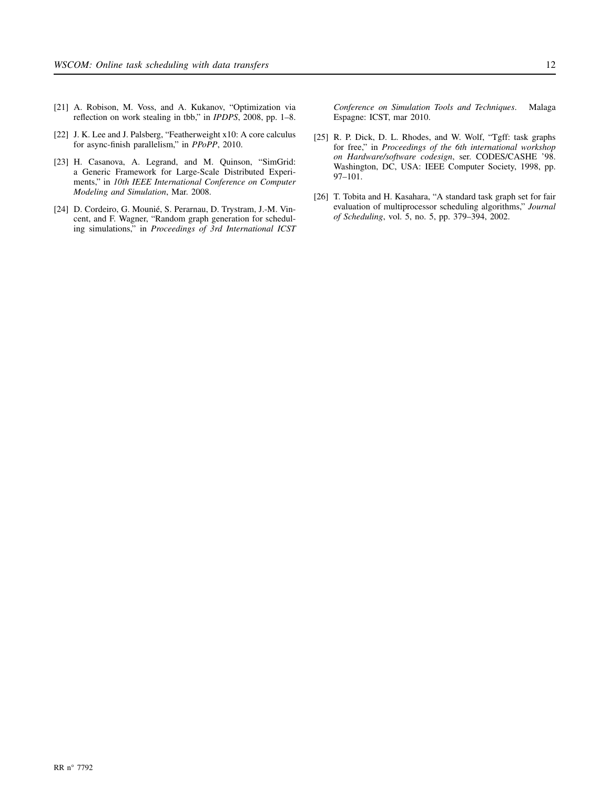- [21] A. Robison, M. Voss, and A. Kukanov, "Optimization via reflection on work stealing in tbb," in *IPDPS*, 2008, pp. 1–8.
- [22] J. K. Lee and J. Palsberg, "Featherweight x10: A core calculus for async-finish parallelism," in *PPoPP*, 2010.
- [23] H. Casanova, A. Legrand, and M. Quinson, "SimGrid: a Generic Framework for Large-Scale Distributed Experiments," in *10th IEEE International Conference on Computer Modeling and Simulation*, Mar. 2008.
- [24] D. Cordeiro, G. Mounié, S. Perarnau, D. Trystram, J.-M. Vincent, and F. Wagner, "Random graph generation for scheduling simulations," in *Proceedings of 3rd International ICST*

*Conference on Simulation Tools and Techniques*. Malaga Espagne: ICST, mar 2010.

- [25] R. P. Dick, D. L. Rhodes, and W. Wolf, "Tgff: task graphs for free," in *Proceedings of the 6th international workshop on Hardware/software codesign*, ser. CODES/CASHE '98. Washington, DC, USA: IEEE Computer Society, 1998, pp. 97–101.
- [26] T. Tobita and H. Kasahara, "A standard task graph set for fair evaluation of multiprocessor scheduling algorithms," *Journal of Scheduling*, vol. 5, no. 5, pp. 379–394, 2002.